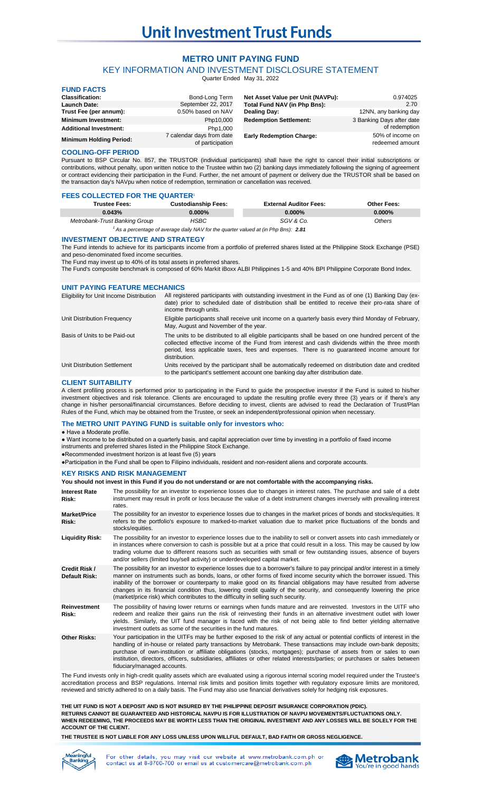# **Unit Investment Trust Funds**

# **METRO UNIT PAYING FUND**

KEY INFORMATION AND INVESTMENT DISCLOSURE STATEMENT

Quarter Ended May 31, 2022

| <b>FUND FACTS</b>              |                                               |                                   |                                     |
|--------------------------------|-----------------------------------------------|-----------------------------------|-------------------------------------|
| <b>Classification:</b>         | Bond-Long Term                                | Net Asset Value per Unit (NAVPu): | 0.974025                            |
| <b>Launch Date:</b>            | September 22, 2017                            | Total Fund NAV (in Php Bns):      | 2.70                                |
| Trust Fee (per annum):         | 0.50% based on NAV                            | Dealing Day:                      | 12NN, any banking day               |
| <b>Minimum Investment:</b>     | Php10,000                                     | <b>Redemption Settlement:</b>     | 3 Banking Days after date           |
| <b>Additional Investment:</b>  | Php1,000                                      |                                   | of redemption                       |
| <b>Minimum Holding Period:</b> | 7 calendar days from date<br>of participation | <b>Early Redemption Charge:</b>   | 50% of income on<br>redeemed amount |

# **COOLING-OFF PERIOD**

Pursuant to BSP Circular No. 857, the TRUSTOR (individual participants) shall have the right to cancel their initial subscriptions or contributions, without penalty, upon written notice to the Trustee within two (2) banking days immediately following the signing of agreement or contract evidencing their participation in the Fund. Further, the net amount of payment or delivery due the TRUSTOR shall be based on the transaction day's NAVpu when notice of redemption, termination or cancellation was received.

| <b>FEES COLLECTED FOR THE QUARTER<sup>1</sup></b> |                            |                               |             |
|---------------------------------------------------|----------------------------|-------------------------------|-------------|
| <b>Trustee Fees:</b>                              | <b>Custodianship Fees:</b> | <b>External Auditor Fees:</b> | Other Fees: |
| 0.043%                                            | $0.000\%$                  | $0.000\%$                     | $0.000\%$   |
| Metrobank-Trust Banking Group                     | HSBC                       | SGV & Co.                     | Others      |

*2.81 <sup>1</sup> As a percentage of average daily NAV for the quarter valued at (in Php Bns):*

# **INVESTMENT OBJECTIVE AND STRATEGY**

The Fund intends to achieve for its participants income from a portfolio of preferred shares listed at the Philippine Stock Exchange (PSE) and peso-denominated fixed income securities.

The Fund may invest up to 40% of its total assets in preferred shares.

The Fund's composite benchmark is composed of 60% Markit iBoxx ALBI Philippines 1-5 and 40% BPI Philippine Corporate Bond Index.

# **UNIT PAYING FEATURE MECHANICS**

| Eligibility for Unit Income Distribution | All registered participants with outstanding investment in the Fund as of one (1) Banking Day (ex-<br>date) prior to scheduled date of distribution shall be entitled to receive their pro-rata share of<br>income through units.                                                                                      |
|------------------------------------------|------------------------------------------------------------------------------------------------------------------------------------------------------------------------------------------------------------------------------------------------------------------------------------------------------------------------|
| Unit Distribution Frequency              | Eligible participants shall receive unit income on a quarterly basis every third Monday of February,<br>May, August and November of the year.                                                                                                                                                                          |
| Basis of Units to be Paid-out            | The units to be distributed to all eligible participants shall be based on one hundred percent of the<br>collected effective income of the Fund from interest and cash dividends within the three month<br>period, less applicable taxes, fees and expenses. There is no guaranteed income amount for<br>distribution. |
| Unit Distribution Settlement             | Units received by the participant shall be automatically redeemed on distribution date and credited<br>to the participant's settlement account one banking day after distribution date.                                                                                                                                |

# **CLIENT SUITABILITY**

A client profiling process is performed prior to participating in the Fund to guide the prospective investor if the Fund is suited to his/her investment objectives and risk tolerance. Clients are encouraged to update the resulting profile every three (3) years or if there's any change in his/her personal/financial circumstances. Before deciding to invest, clients are advised to read the Declaration of Trust/Plan Rules of the Fund, which may be obtained from the Trustee, or seek an independent/professional opinion when necessary.

# **The METRO UNIT PAYING FUND is suitable only for investors who:**

● Have a Moderate profile.

● Want income to be distributed on a quarterly basis, and capital appreciation over time by investing in a portfolio of fixed income

instruments and preferred shares listed in the Philippine Stock Exchange.

●Recommended investment horizon is at least five (5) years

●Participation in the Fund shall be open to Filipino individuals, resident and non-resident aliens and corporate accounts.

## **KEY RISKS AND RISK MANAGEMENT**

## **You should not invest in this Fund if you do not understand or are not comfortable with the accompanying risks.**

| <b>Interest Rate</b><br>Risk:         | The possibility for an investor to experience losses due to changes in interest rates. The purchase and sale of a debt<br>instrument may result in profit or loss because the value of a debt instrument changes inversely with prevailing interest<br>rates.                                                                                                                                                                                                                                                                                                                            |
|---------------------------------------|------------------------------------------------------------------------------------------------------------------------------------------------------------------------------------------------------------------------------------------------------------------------------------------------------------------------------------------------------------------------------------------------------------------------------------------------------------------------------------------------------------------------------------------------------------------------------------------|
| <b>Market/Price</b><br>Risk:          | The possibility for an investor to experience losses due to changes in the market prices of bonds and stocks/equities. It<br>refers to the portfolio's exposure to marked-to-market valuation due to market price fluctuations of the bonds and<br>stocks/equities.                                                                                                                                                                                                                                                                                                                      |
| <b>Liquidity Risk:</b>                | The possibility for an investor to experience losses due to the inability to sell or convert assets into cash immediately or<br>in instances where conversion to cash is possible but at a price that could result in a loss. This may be caused by low<br>trading volume due to different reasons such as securities with small or few outstanding issues, absence of buyers<br>and/or sellers (limited buy/sell activity) or underdeveloped capital market.                                                                                                                            |
| <b>Credit Risk /</b><br>Default Risk: | The possibility for an investor to experience losses due to a borrower's failure to pay principal and/or interest in a timely<br>manner on instruments such as bonds, loans, or other forms of fixed income security which the borrower issued. This<br>inability of the borrower or counterparty to make good on its financial obligations may have resulted from adverse<br>changes in its financial condition thus, lowering credit quality of the security, and consequently lowering the price<br>(market/price risk) which contributes to the difficulty in selling such security. |
| <b>Reinvestment</b><br>Risk:          | The possibility of having lower returns or earnings when funds mature and are reinvested. Investors in the UITF who<br>redeem and realize their gains run the risk of reinvesting their funds in an alternative investment outlet with lower<br>yields. Similarly, the UIT fund manager is faced with the risk of not being able to find better yielding alternative<br>investment outlets as some of the securities in the fund matures.                                                                                                                                                |
| <b>Other Risks:</b>                   | Your participation in the UITFs may be further exposed to the risk of any actual or potential conflicts of interest in the<br>handling of in-house or related party transactions by Metrobank. These transactions may include own-bank deposits;<br>purchase of own-institution or affiliate obligations (stocks, mortgages); purchase of assets from or sales to own<br>institution, directors, officers, subsidiaries, affiliates or other related interests/parties; or purchases or sales between<br>fiduciary/managed accounts.                                                     |

The Fund invests only in high-credit quality assets which are evaluated using a rigorous internal scoring model required under the Trustee's accreditation process and BSP regulations. Internal risk limits and position limits together with regulatory exposure limits are monitored, reviewed and strictly adhered to on a daily basis. The Fund may also use financial derivatives solely for hedging risk exposures.

## **RETURNS CANNOT BE GUARANTEED AND HISTORICAL NAVPU IS FOR ILLUSTRATION OF NAVPU MOVEMENTS/FLUCTUATIONS ONLY. WHEN REDEEMING, THE PROCEEDS MAY BE WORTH LESS THAN THE ORIGINAL INVESTMENT AND ANY LOSSES WILL BE SOLELY FOR THE ACCOUNT OF THE CLIENT. THE UIT FUND IS NOT A DEPOSIT AND IS NOT INSURED BY THE PHILIPPINE DEPOSIT INSURANCE CORPORATION (PDIC).**

**THE TRUSTEE IS NOT LIABLE FOR ANY LOSS UNLESS UPON WILLFUL DEFAULT, BAD FAITH OR GROSS NEGLIGENCE.**



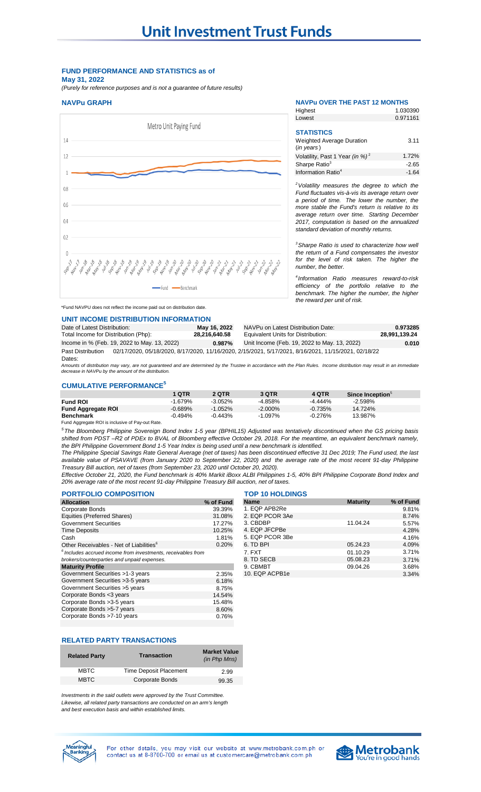# **FUND PERFORMANCE AND STATISTICS as of May 31, 2022**

*(Purely for reference purposes and is not a guarantee of future results)*

# **NAVPu GRAPH NAVPu OVER THE PAST 12 MONTHS**



#### 1.030390 0.971161 **STATISTICS** 3.11 Highest Lowest Weighted Average Duration (*in years* )

1.72% -2.65 -1.64 *<sup>2</sup>Volatility measures the degree to which the* Volatility, Past 1 Year *(in %)* <sup>2</sup> Sharpe Ratio3 Information Ratio<sup>4</sup>

*Fund fluctuates vis-à-vis its average return over a period of time. The lower the number, the more stable the Fund's return is relative to its average return over time. Starting December 2017, computation is based on the annualized standard deviation of monthly returns.* 

*<sup>3</sup>Sharpe Ratio is used to characterize how well the return of a Fund compensates the investor for the level of risk taken. The higher the number, the better.*

*4 Information Ratio measures reward-to-risk efficiency of the portfolio relative to the benchmark. The higher the number, the higher the reward per unit of risk.*

## \*Fund NAVPU does not reflect the income paid out on distribution date.

## **UNIT INCOME DISTRIBUTION INFORMATION**

| Date of Latest Distribution:                 | May 16, 2022  | NAVPu on Latest Distribution Date:                                                                   | 0.973285      |
|----------------------------------------------|---------------|------------------------------------------------------------------------------------------------------|---------------|
| Total Income for Distribution (Php):         | 28.216.640.58 | Equivalent Units for Distribution:                                                                   | 28.991.139.24 |
| Income in % (Feb. 19, 2022 to May. 13, 2022) | 0.987%        | Unit Income (Feb. 19, 2022 to May. 13, 2022)                                                         | 0.010         |
| <b>Past Distribution</b><br>Dates:           |               | 02/17/2020, 05/18/2020, 8/17/2020, 11/16/2020, 2/15/2021, 5/17/2021, 8/16/2021, 11/15/2021, 02/18/22 |               |

Amounts of distribution may vary, are not guaranteed and are determined by the Trustee in accordance with the Plan Rules. Income distribution may result in an immediate<br>decrease in NAVPu by the amount of the distribution.

## **CUMULATIVE PERFORMANCE<sup>5</sup>**

|                           | 1 QTR      | 2 QTR     | 3 QTR      | 4 QTR      | Since Inception <sup>5</sup> |
|---------------------------|------------|-----------|------------|------------|------------------------------|
| <b>Fund ROI</b>           | $-1.679%$  | $-3.052%$ | $-4.858%$  | $-4.444\%$ | $-2.598%$                    |
| <b>Fund Aggregate ROI</b> | $-0.689%$  | $-1.052%$ | $-2.000\%$ | $-0.735%$  | 14.724%                      |
| <b>Benchmark</b>          | $-0.494\%$ | $-0.443%$ | $-1.097%$  | $-0.276%$  | 13.987%                      |

Fund Aggregate ROI is inclusive of Pay-out Rate.

<sup>5</sup>The Bloomberg Philippine Sovereign Bond Index 1-5 year (BPHIL15) Adjusted was tentatively discontinued when the GS pricing basis shifted from PDST-R2 of PDEx to BVAL of Bloomberg effective October 29, 2018. For the meantime, an equivalent benchmark namely, *the BPI Philippine Government Bond 1-5 Year Index is being used until a new benchmark is identified.*

The Philippine Special Savings Rate General Average (net of taxes) has been discontinued effective 31 Dec 2019; The Fund used, the last available value of PSAVAVE (from January 2020 to September 22, 2020) and the average rate of the most recent 91-day Philippine *Treasury Bill auction, net of taxes (from September 23, 2020 until October 20, 2020).*

Effective October 21, 2020, the Fund benchmark is 40% Markit iBoxx ALBI Philippines 1-5, 40% BPI Philippine Corporate Bond Index and *20% average rate of the most recent 91-day Philippine Treasury Bill auction, net of taxes.*

| <b>PORTFOLIO COMPOSITION</b>                                   |           | <b>TOP 10 HOLDINGS</b> |                 |           |
|----------------------------------------------------------------|-----------|------------------------|-----------------|-----------|
| <b>Allocation</b>                                              | % of Fund | <b>Name</b>            | <b>Maturity</b> | % of Fund |
| Corporate Bonds                                                | 39.39%    | 1. EQP APB2Re          |                 | 9.81%     |
| Equities (Preferred Shares)                                    | 31.08%    | 2. EQP PCOR 3Ae        |                 | 8.74%     |
| <b>Government Securities</b>                                   | 17.27%    | 3. CBDBP               | 11.04.24        | 5.57%     |
| <b>Time Deposits</b>                                           | 10.25%    | 4. EQP JFCPBe          |                 | 4.28%     |
| Cash                                                           | 1.81%     | 5. EQP PCOR 3Be        |                 | 4.16%     |
| Other Receivables - Net of Liabilities <sup>6</sup>            | 0.20%     | 6. TD BPI              | 05.24.23        | 4.09%     |
| $6$ Includes accrued income from investments. receivables from |           | 7. FXT                 | 01.10.29        | 3.71%     |
| brokers/counterparties and unpaid expenses.                    |           | 8. TD SECB             | 05.08.23        | 3.71%     |
| <b>Maturity Profile</b>                                        |           | 9. CBMBT               | 09.04.26        | 3.68%     |
| Government Securities >1-3 years                               | 2.35%     | 10. EQP ACPB1e         |                 | 3.34%     |
| Government Securities > 3-5 years                              | 6.18%     |                        |                 |           |
| Government Securities > 5 years                                | 8.75%     |                        |                 |           |
| Corporate Bonds <3 years                                       | 14.54%    |                        |                 |           |
| Corporate Bonds > 3-5 years                                    | 15.48%    |                        |                 |           |
| Corporate Bonds > 5-7 years                                    | 8.60%     |                        |                 |           |
| Corporate Bonds >7-10 years                                    | 0.76%     |                        |                 |           |
|                                                                |           |                        |                 |           |

| <b>PORTFOLIO COMPOSITION</b>                                    | <b>TOP 10 HOLDINGS</b> |                 |                 |           |
|-----------------------------------------------------------------|------------------------|-----------------|-----------------|-----------|
| <b>Allocation</b>                                               | % of Fund              | <b>Name</b>     | <b>Maturity</b> | % of Fund |
| Corporate Bonds                                                 | 39.39%                 | 1. EQP APB2Re   |                 | 9.81%     |
| <b>Equities (Preferred Shares)</b>                              | 31.08%                 | 2. EQP PCOR 3Ae |                 | 8.74%     |
| Government Securities                                           | 17.27%                 | 3. CBDBP        | 11.04.24        | 5.57%     |
| Time Deposits                                                   | 10.25%                 | 4. EQP JFCPBe   |                 | 4.28%     |
| Cash                                                            | 1.81%                  | 5. EQP PCOR 3Be |                 | 4.16%     |
| Other Receivables - Net of Liabilities <sup>6</sup>             | 0.20%                  | 6. TD BPI       | 05.24.23        | 4.09%     |
| $^6$ Includes accrued income from investments, receivables from |                        | 7. FXT          | 01.10.29        | 3.71%     |
| brokers/counterparties and unpaid expenses.                     |                        | 8. TD SECB      | 05.08.23        | 3.71%     |
| <b>Maturity Profile</b>                                         |                        | 9. CBMBT        | 09.04.26        | 3.68%     |
| Government Securities >1-3 vears                                | 2.35%                  | 10 FOP ACPR1e   |                 | $3.34\%$  |

# **RELATED PARTY TRANSACTIONS**

| <b>Related Party</b> | <b>Transaction</b>            | <b>Market Value</b><br>(in Php Mns) |
|----------------------|-------------------------------|-------------------------------------|
| <b>MBTC</b>          | <b>Time Deposit Placement</b> | 2.99                                |
| <b>MBTC</b>          | Corporate Bonds               | 99.35                               |

*Investments in the said outlets were approved by the Trust Committee. Likewise, all related party transactions are conducted on an arm's length and best execution basis and within established limits.*